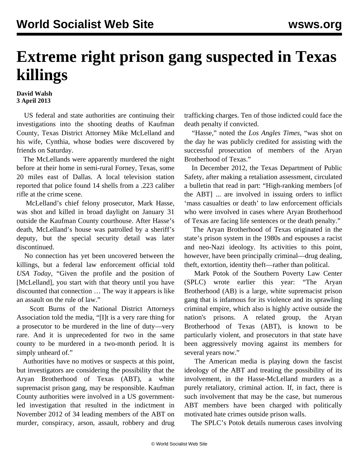## **Extreme right prison gang suspected in Texas killings**

## **David Walsh 3 April 2013**

 US federal and state authorities are continuing their investigations into the shooting deaths of Kaufman County, Texas District Attorney Mike McLelland and his wife, Cynthia, whose bodies were discovered by friends on Saturday.

 The McLellands were apparently murdered the night before at their home in semi-rural Forney, Texas, some 20 miles east of Dallas. A local television station reported that police found 14 shells from a .223 caliber rifle at the crime scene.

 McLelland's chief felony prosecutor, Mark Hasse, was shot and killed in broad daylight on January 31 outside the Kaufman County courthouse. After Hasse's death, McLelland's house was patrolled by a sheriff's deputy, but the special security detail was later discontinued.

 No connection has yet been uncovered between the killings, but a federal law enforcement official told *USA Today*, "Given the profile and the position of [McLelland], you start with that theory until you have discounted that connection … The way it appears is like an assault on the rule of law."

 Scott Burns of the National District Attorneys Association told the media, "[I]t is a very rare thing for a prosecutor to be murdered in the line of duty—very rare. And it is unprecedented for two in the same county to be murdered in a two-month period. It is simply unheard of."

 Authorities have no motives or suspects at this point, but investigators are considering the possibility that the Aryan Brotherhood of Texas (ABT), a white supremacist prison gang, may be responsible. Kaufman County authorities were involved in a US governmentled investigation that resulted in the indictment in November 2012 of 34 leading members of the ABT on murder, conspiracy, arson, assault, robbery and drug trafficking charges. Ten of those indicted could face the death penalty if convicted.

 "Hasse," noted the *Los Angles Times*, "was shot on the day he was publicly credited for assisting with the successful prosecution of members of the Aryan Brotherhood of Texas."

 In December 2012, the Texas Department of Public Safety, after making a retaliation assessment, circulated a bulletin that read in part: "High-ranking members [of the ABT] ... are involved in issuing orders to inflict 'mass casualties or death' to law enforcement officials who were involved in cases where Aryan Brotherhood of Texas are facing life sentences or the death penalty."

 The Aryan Brotherhood of Texas originated in the state's prison system in the 1980s and espouses a racist and neo-Nazi ideology. Its activities to this point, however, have been principally criminal—drug dealing, theft, extortion, identity theft—rather than political.

 Mark Potok of the Southern Poverty Law Center (SPLC) wrote earlier this year: "The Aryan Brotherhood (AB) is a large, white supremacist prison gang that is infamous for its violence and its sprawling criminal empire, which also is highly active outside the nation's prisons. A related group, the Aryan Brotherhood of Texas (ABT), is known to be particularly violent, and prosecutors in that state have been aggressively moving against its members for several years now."

 The American media is playing down the fascist ideology of the ABT and treating the possibility of its involvement, in the Hasse-McLelland murders as a purely retaliatory, criminal action. If, in fact, there is such involvement that may be the case, but numerous ABT members have been charged with politically motivated hate crimes outside prison walls.

The SPLC's Potok details numerous cases involving